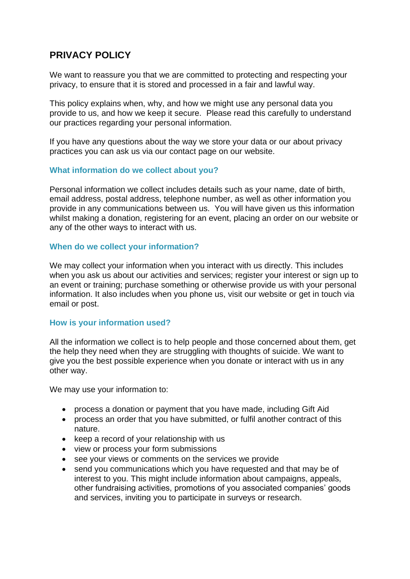# **PRIVACY POLICY**

We want to reassure you that we are committed to protecting and respecting your privacy, to ensure that it is stored and processed in a fair and lawful way.

This policy explains when, why, and how we might use any personal data you provide to us, and how we keep it secure. Please read this carefully to understand our practices regarding your personal information.

If you have any questions about the way we store your data or our about privacy practices you can ask us via our contact page on our website.

## **What information do we collect about you?**

Personal information we collect includes details such as your name, date of birth, email address, postal address, telephone number, as well as other information you provide in any communications between us. You will have given us this information whilst making a donation, registering for an event, placing an order on our website or any of the other ways to interact with us.

## **When do we collect your information?**

We may collect your information when you interact with us directly. This includes when you ask us about our activities and services; register your interest or sign up to an event or training; purchase something or otherwise provide us with your personal information. It also includes when you phone us, visit our website or get in touch via email or post.

## **How is your information used?**

All the information we collect is to help people and those concerned about them, get the help they need when they are struggling with thoughts of suicide. We want to give you the best possible experience when you donate or interact with us in any other way.

We may use your information to:

- process a donation or payment that you have made, including Gift Aid
- process an order that you have submitted, or fulfil another contract of this nature.
- keep a record of your relationship with us
- view or process your form submissions
- see your views or comments on the services we provide
- send you communications which you have requested and that may be of interest to you. This might include information about campaigns, appeals, other fundraising activities, promotions of you associated companies' goods and services, inviting you to participate in surveys or research.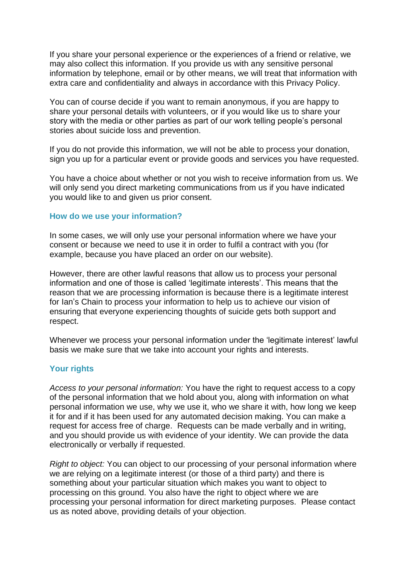If you share your personal experience or the experiences of a friend or relative, we may also collect this information. If you provide us with any sensitive personal information by telephone, email or by other means, we will treat that information with extra care and confidentiality and always in accordance with this Privacy Policy.

You can of course decide if you want to remain anonymous, if you are happy to share your personal details with volunteers, or if you would like us to share your story with the media or other parties as part of our work telling people's personal stories about suicide loss and prevention.

If you do not provide this information, we will not be able to process your donation, sign you up for a particular event or provide goods and services you have requested.

You have a choice about whether or not you wish to receive information from us. We will only send you direct marketing communications from us if you have indicated you would like to and given us prior consent.

### **How do we use your information?**

In some cases, we will only use your personal information where we have your consent or because we need to use it in order to fulfil a contract with you (for example, because you have placed an order on our website).

However, there are other lawful reasons that allow us to process your personal information and one of those is called 'legitimate interests'. This means that the reason that we are processing information is because there is a legitimate interest for Ian's Chain to process your information to help us to achieve our vision of ensuring that everyone experiencing thoughts of suicide gets both support and respect.

Whenever we process your personal information under the 'legitimate interest' lawful basis we make sure that we take into account your rights and interests.

#### **Your rights**

*Access to your personal information:* You have the right to request access to a copy of the personal information that we hold about you, along with information on what personal information we use, why we use it, who we share it with, how long we keep it for and if it has been used for any automated decision making. You can make a request for access free of charge. Requests can be made verbally and in writing, and you should provide us with evidence of your identity. We can provide the data electronically or verbally if requested.

*Right to object:* You can object to our processing of your personal information where we are relying on a legitimate interest (or those of a third party) and there is something about your particular situation which makes you want to object to processing on this ground. You also have the right to object where we are processing your personal information for direct marketing purposes. Please contact us as noted above, providing details of your objection.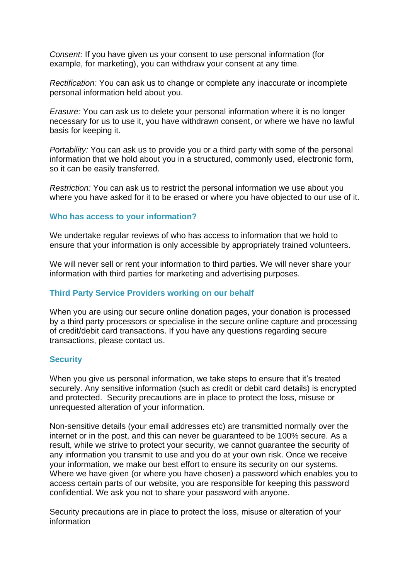*Consent:* If you have given us your consent to use personal information (for example, for marketing), you can withdraw your consent at any time.

*Rectification:* You can ask us to change or complete any inaccurate or incomplete personal information held about you.

*Erasure:* You can ask us to delete your personal information where it is no longer necessary for us to use it, you have withdrawn consent, or where we have no lawful basis for keeping it.

*Portability:* You can ask us to provide you or a third party with some of the personal information that we hold about you in a structured, commonly used, electronic form, so it can be easily transferred.

*Restriction:* You can ask us to restrict the personal information we use about you where you have asked for it to be erased or where you have objected to our use of it.

## **Who has access to your information?**

We undertake regular reviews of who has access to information that we hold to ensure that your information is only accessible by appropriately trained volunteers.

We will never sell or rent your information to third parties. We will never share your information with third parties for marketing and advertising purposes.

# **Third Party Service Providers working on our behalf**

When you are using our secure online donation pages, your donation is processed by a third party processors or specialise in the secure online capture and processing of credit/debit card transactions. If you have any questions regarding secure transactions, please contact us.

# **Security**

When you give us personal information, we take steps to ensure that it's treated securely. Any sensitive information (such as credit or debit card details) is encrypted and protected. Security precautions are in place to protect the loss, misuse or unrequested alteration of your information.

Non-sensitive details (your email addresses etc) are transmitted normally over the internet or in the post, and this can never be guaranteed to be 100% secure. As a result, while we strive to protect your security, we cannot guarantee the security of any information you transmit to use and you do at your own risk. Once we receive your information, we make our best effort to ensure its security on our systems. Where we have given (or where you have chosen) a password which enables you to access certain parts of our website, you are responsible for keeping this password confidential. We ask you not to share your password with anyone.

Security precautions are in place to protect the loss, misuse or alteration of your information